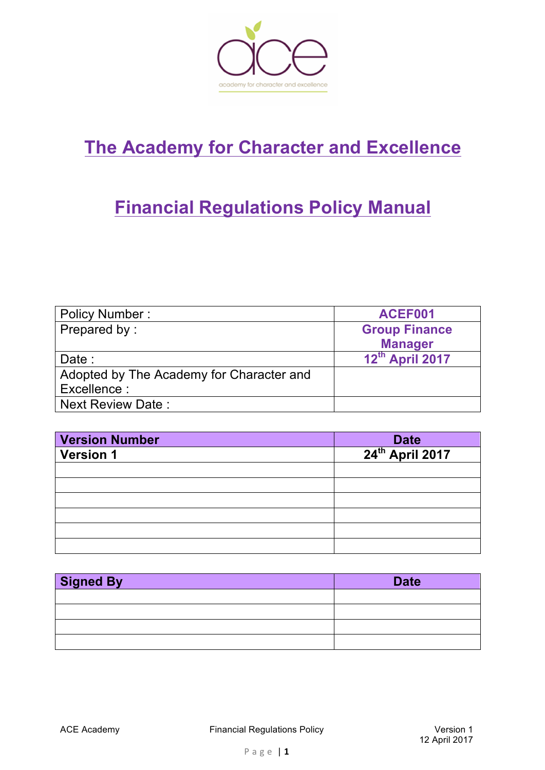

# **The Academy for Character and Excellence**

# **Financial Regulations Policy Manual**

| <b>Policy Number:</b>                    | ACEF001              |
|------------------------------------------|----------------------|
| Prepared by:                             | <b>Group Finance</b> |
|                                          | <b>Manager</b>       |
| Date :                                   | 12th April 2017      |
| Adopted by The Academy for Character and |                      |
| Excellence :                             |                      |
| <b>Next Review Date:</b>                 |                      |

| <b>Version Number</b> |                                     |
|-----------------------|-------------------------------------|
| <b>Version 1</b>      | Date<br>24 <sup>th</sup> April 2017 |
|                       |                                     |
|                       |                                     |
|                       |                                     |
|                       |                                     |
|                       |                                     |
|                       |                                     |

| <b>Signed By</b> | <b>Date</b> |
|------------------|-------------|
|                  |             |
|                  |             |
|                  |             |
|                  |             |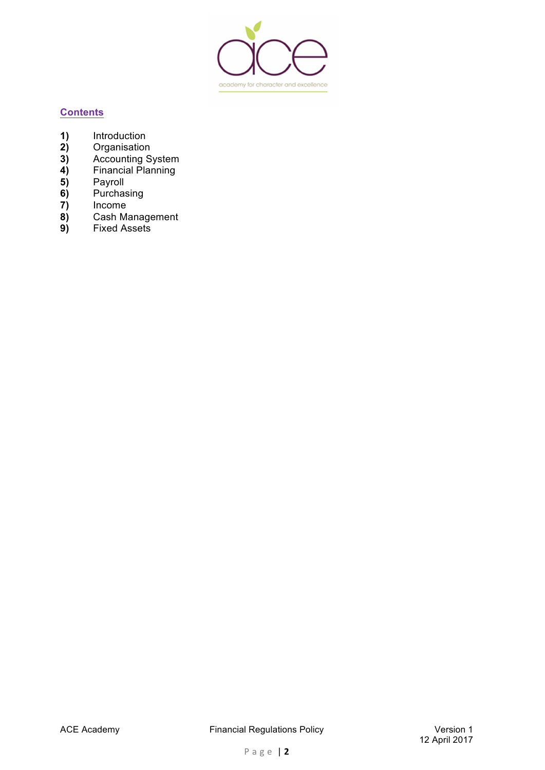

# **Contents**

- **1)** Introduction
- **2)** Organisation
- **3)** Accounting System
- **4)** Financial Planning
- **5)** Payroll
- **6)** Purchasing
- **7)** Income
- **8)** Cash Management
- **9)** Fixed Assets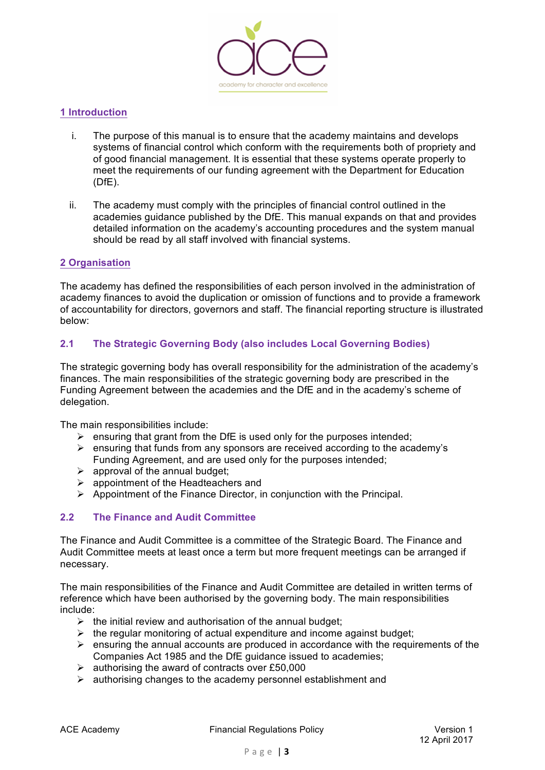

## **1 Introduction**

- i. The purpose of this manual is to ensure that the academy maintains and develops systems of financial control which conform with the requirements both of propriety and of good financial management. It is essential that these systems operate properly to meet the requirements of our funding agreement with the Department for Education (DfE).
- ii. The academy must comply with the principles of financial control outlined in the academies guidance published by the DfE. This manual expands on that and provides detailed information on the academy's accounting procedures and the system manual should be read by all staff involved with financial systems.

## **2 Organisation**

The academy has defined the responsibilities of each person involved in the administration of academy finances to avoid the duplication or omission of functions and to provide a framework of accountability for directors, governors and staff. The financial reporting structure is illustrated below:

# **2.1 The Strategic Governing Body (also includes Local Governing Bodies)**

The strategic governing body has overall responsibility for the administration of the academy's finances. The main responsibilities of the strategic governing body are prescribed in the Funding Agreement between the academies and the DfE and in the academy's scheme of delegation.

The main responsibilities include:

- $\triangleright$  ensuring that grant from the DfE is used only for the purposes intended;
- $\triangleright$  ensuring that funds from any sponsors are received according to the academy's Funding Agreement, and are used only for the purposes intended;
- $\triangleright$  approval of the annual budget:
- $\triangleright$  appointment of the Headteachers and
- $\triangleright$  Appointment of the Finance Director, in conjunction with the Principal.

## **2.2 The Finance and Audit Committee**

The Finance and Audit Committee is a committee of the Strategic Board. The Finance and Audit Committee meets at least once a term but more frequent meetings can be arranged if necessary.

The main responsibilities of the Finance and Audit Committee are detailed in written terms of reference which have been authorised by the governing body. The main responsibilities include:

- $\triangleright$  the initial review and authorisation of the annual budget;
- $\triangleright$  the regular monitoring of actual expenditure and income against budget;
- $\triangleright$  ensuring the annual accounts are produced in accordance with the requirements of the Companies Act 1985 and the DfE guidance issued to academies;
- $\geq$  authorising the award of contracts over £50,000
- $\triangleright$  authorising changes to the academy personnel establishment and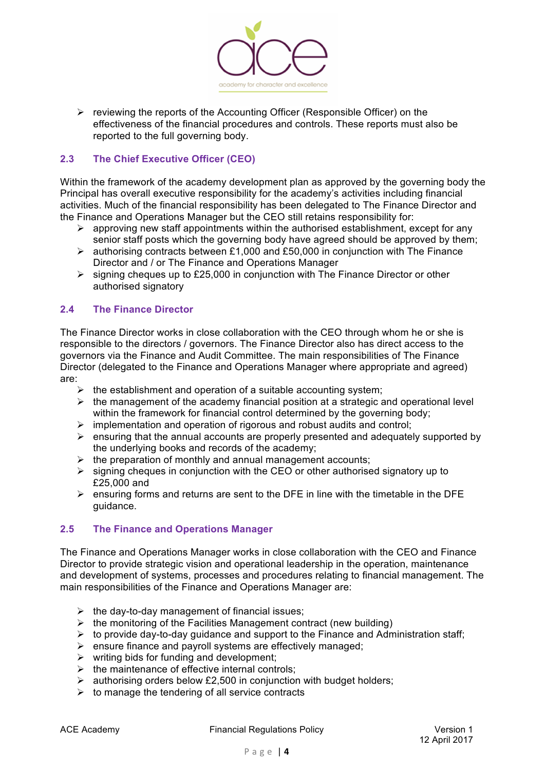

 $\triangleright$  reviewing the reports of the Accounting Officer (Responsible Officer) on the effectiveness of the financial procedures and controls. These reports must also be reported to the full governing body.

# **2.3 The Chief Executive Officer (CEO)**

Within the framework of the academy development plan as approved by the governing body the Principal has overall executive responsibility for the academy's activities including financial activities. Much of the financial responsibility has been delegated to The Finance Director and the Finance and Operations Manager but the CEO still retains responsibility for:

- $\triangleright$  approving new staff appointments within the authorised establishment, except for any senior staff posts which the governing body have agreed should be approved by them;
- $\geq$  authorising contracts between £1,000 and £50,000 in conjunction with The Finance Director and / or The Finance and Operations Manager
- $\triangleright$  signing cheques up to £25,000 in conjunction with The Finance Director or other authorised signatory

## **2.4 The Finance Director**

The Finance Director works in close collaboration with the CEO through whom he or she is responsible to the directors / governors. The Finance Director also has direct access to the governors via the Finance and Audit Committee. The main responsibilities of The Finance Director (delegated to the Finance and Operations Manager where appropriate and agreed) are:

- $\triangleright$  the establishment and operation of a suitable accounting system;
- $\triangleright$  the management of the academy financial position at a strategic and operational level within the framework for financial control determined by the governing body;
- $\triangleright$  implementation and operation of rigorous and robust audits and control;
- $\triangleright$  ensuring that the annual accounts are properly presented and adequately supported by the underlying books and records of the academy;
- $\triangleright$  the preparation of monthly and annual management accounts;
- $\triangleright$  signing cheques in conjunction with the CEO or other authorised signatory up to £25,000 and
- $\triangleright$  ensuring forms and returns are sent to the DFE in line with the timetable in the DFE guidance.

## **2.5 The Finance and Operations Manager**

The Finance and Operations Manager works in close collaboration with the CEO and Finance Director to provide strategic vision and operational leadership in the operation, maintenance and development of systems, processes and procedures relating to financial management. The main responsibilities of the Finance and Operations Manager are:

- $\triangleright$  the day-to-day management of financial issues;
- $\triangleright$  the monitoring of the Facilities Management contract (new building)
- $\triangleright$  to provide day-to-day guidance and support to the Finance and Administration staff;
- $\triangleright$  ensure finance and payroll systems are effectively managed;
- $\triangleright$  writing bids for funding and development;
- $\triangleright$  the maintenance of effective internal controls;
- $\triangleright$  authorising orders below £2,500 in conjunction with budget holders;
- $\triangleright$  to manage the tendering of all service contracts

ACE Academy **Financial Requlations Policy Financial Requlations Policy Network** Version 1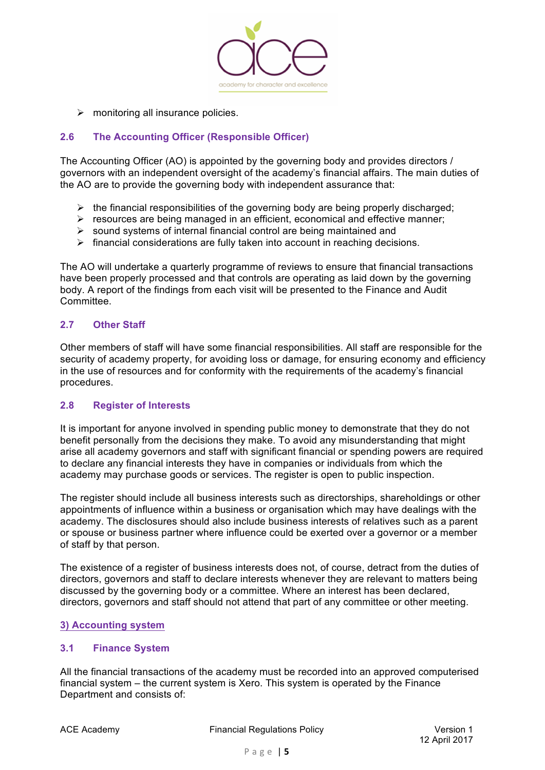

 $\triangleright$  monitoring all insurance policies.

## **2.6 The Accounting Officer (Responsible Officer)**

The Accounting Officer (AO) is appointed by the governing body and provides directors / governors with an independent oversight of the academy's financial affairs. The main duties of the AO are to provide the governing body with independent assurance that:

- $\triangleright$  the financial responsibilities of the governing body are being properly discharged;
- $\triangleright$  resources are being managed in an efficient, economical and effective manner;
- $\triangleright$  sound systems of internal financial control are being maintained and
- $\triangleright$  financial considerations are fully taken into account in reaching decisions.

The AO will undertake a quarterly programme of reviews to ensure that financial transactions have been properly processed and that controls are operating as laid down by the governing body. A report of the findings from each visit will be presented to the Finance and Audit Committee.

## **2.7 Other Staff**

Other members of staff will have some financial responsibilities. All staff are responsible for the security of academy property, for avoiding loss or damage, for ensuring economy and efficiency in the use of resources and for conformity with the requirements of the academy's financial procedures.

## **2.8 Register of Interests**

It is important for anyone involved in spending public money to demonstrate that they do not benefit personally from the decisions they make. To avoid any misunderstanding that might arise all academy governors and staff with significant financial or spending powers are required to declare any financial interests they have in companies or individuals from which the academy may purchase goods or services. The register is open to public inspection.

The register should include all business interests such as directorships, shareholdings or other appointments of influence within a business or organisation which may have dealings with the academy. The disclosures should also include business interests of relatives such as a parent or spouse or business partner where influence could be exerted over a governor or a member of staff by that person.

The existence of a register of business interests does not, of course, detract from the duties of directors, governors and staff to declare interests whenever they are relevant to matters being discussed by the governing body or a committee. Where an interest has been declared, directors, governors and staff should not attend that part of any committee or other meeting.

## **3) Accounting system**

#### **3.1 Finance System**

All the financial transactions of the academy must be recorded into an approved computerised financial system – the current system is Xero. This system is operated by the Finance Department and consists of: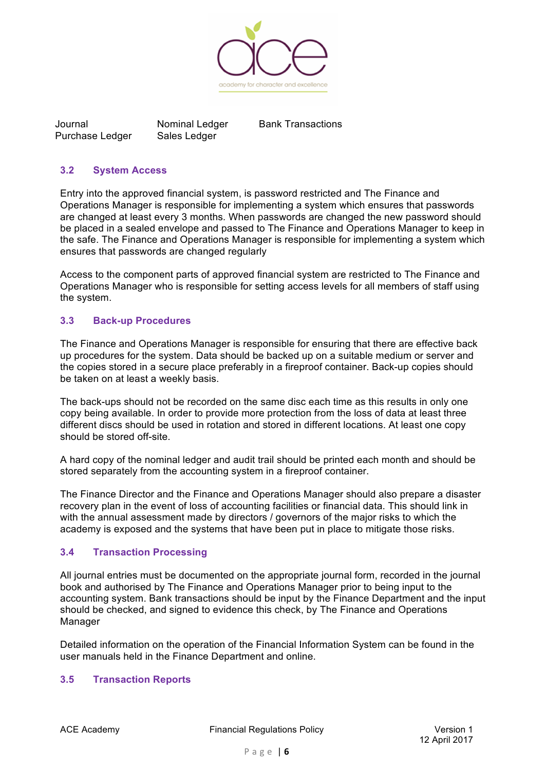

Journal **Nominal Ledger** Bank Transactions Purchase Ledger Sales Ledger

## **3.2 System Access**

Entry into the approved financial system, is password restricted and The Finance and Operations Manager is responsible for implementing a system which ensures that passwords are changed at least every 3 months*.* When passwords are changed the new password should be placed in a sealed envelope and passed to The Finance and Operations Manager to keep in the safe. The Finance and Operations Manager is responsible for implementing a system which ensures that passwords are changed regularly

Access to the component parts of approved financial system are restricted to The Finance and Operations Manager who is responsible for setting access levels for all members of staff using the system.

# **3.3 Back-up Procedures**

The Finance and Operations Manager is responsible for ensuring that there are effective back up procedures for the system. Data should be backed up on a suitable medium or server and the copies stored in a secure place preferably in a fireproof container. Back-up copies should be taken on at least a weekly basis.

The back-ups should not be recorded on the same disc each time as this results in only one copy being available. In order to provide more protection from the loss of data at least three different discs should be used in rotation and stored in different locations. At least one copy should be stored off-site.

A hard copy of the nominal ledger and audit trail should be printed each month and should be stored separately from the accounting system in a fireproof container.

The Finance Director and the Finance and Operations Manager should also prepare a disaster recovery plan in the event of loss of accounting facilities or financial data. This should link in with the annual assessment made by directors / governors of the major risks to which the academy is exposed and the systems that have been put in place to mitigate those risks.

## **3.4 Transaction Processing**

All journal entries must be documented on the appropriate journal form, recorded in the journal book and authorised by The Finance and Operations Manager prior to being input to the accounting system. Bank transactions should be input by the Finance Department and the input should be checked, and signed to evidence this check, by The Finance and Operations Manager

Detailed information on the operation of the Financial Information System can be found in the user manuals held in the Finance Department and online.

## **3.5 Transaction Reports**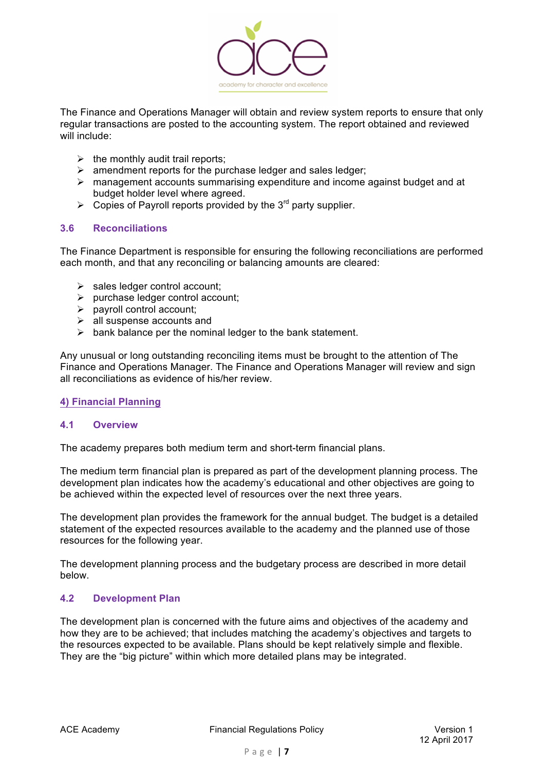

The Finance and Operations Manager will obtain and review system reports to ensure that only regular transactions are posted to the accounting system. The report obtained and reviewed will include:

- $\triangleright$  the monthly audit trail reports:
- $\triangleright$  amendment reports for the purchase ledger and sales ledger;
- $\triangleright$  management accounts summarising expenditure and income against budget and at budget holder level where agreed.
- $\triangleright$  Copies of Payroll reports provided by the 3<sup>rd</sup> party supplier.

## **3.6 Reconciliations**

The Finance Department is responsible for ensuring the following reconciliations are performed each month, and that any reconciling or balancing amounts are cleared:

- $\triangleright$  sales ledger control account:
- $\triangleright$  purchase ledger control account;
- $\triangleright$  payroll control account;
- $\triangleright$  all suspense accounts and
- $\triangleright$  bank balance per the nominal ledger to the bank statement.

Any unusual or long outstanding reconciling items must be brought to the attention of The Finance and Operations Manager. The Finance and Operations Manager will review and sign all reconciliations as evidence of his/her review.

## **4) Financial Planning**

#### **4.1 Overview**

The academy prepares both medium term and short-term financial plans.

The medium term financial plan is prepared as part of the development planning process. The development plan indicates how the academy's educational and other objectives are going to be achieved within the expected level of resources over the next three years.

The development plan provides the framework for the annual budget. The budget is a detailed statement of the expected resources available to the academy and the planned use of those resources for the following year.

The development planning process and the budgetary process are described in more detail below.

#### **4.2 Development Plan**

The development plan is concerned with the future aims and objectives of the academy and how they are to be achieved; that includes matching the academy's objectives and targets to the resources expected to be available. Plans should be kept relatively simple and flexible. They are the "big picture" within which more detailed plans may be integrated.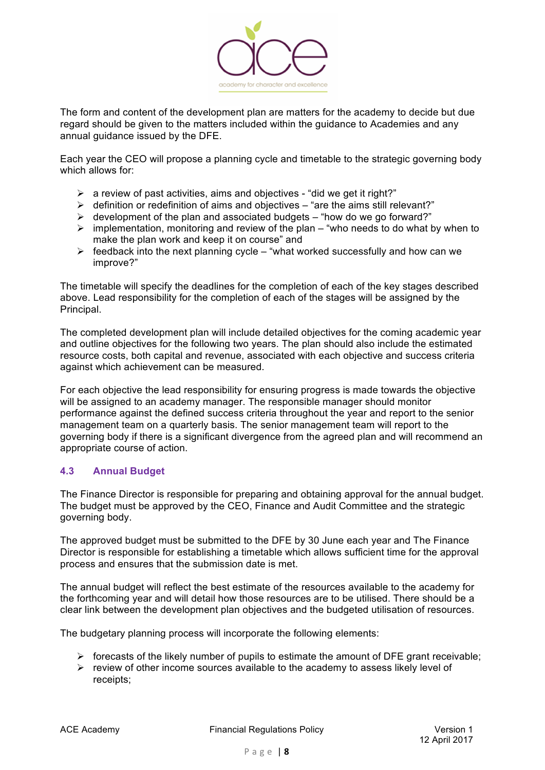

The form and content of the development plan are matters for the academy to decide but due regard should be given to the matters included within the guidance to Academies and any annual guidance issued by the DFE.

Each year the CEO will propose a planning cycle and timetable to the strategic governing body which allows for:

- $\triangleright$  a review of past activities, aims and objectives "did we get it right?"
- $\triangleright$  definition or redefinition of aims and objectives "are the aims still relevant?"
- $\triangleright$  development of the plan and associated budgets "how do we go forward?"
- $\triangleright$  implementation, monitoring and review of the plan "who needs to do what by when to make the plan work and keep it on course" and
- $\triangleright$  feedback into the next planning cycle "what worked successfully and how can we improve?"

The timetable will specify the deadlines for the completion of each of the key stages described above. Lead responsibility for the completion of each of the stages will be assigned by the Principal.

The completed development plan will include detailed objectives for the coming academic year and outline objectives for the following two years. The plan should also include the estimated resource costs, both capital and revenue, associated with each objective and success criteria against which achievement can be measured.

For each objective the lead responsibility for ensuring progress is made towards the objective will be assigned to an academy manager. The responsible manager should monitor performance against the defined success criteria throughout the year and report to the senior management team on a quarterly basis. The senior management team will report to the governing body if there is a significant divergence from the agreed plan and will recommend an appropriate course of action.

## **4.3 Annual Budget**

The Finance Director is responsible for preparing and obtaining approval for the annual budget. The budget must be approved by the CEO, Finance and Audit Committee and the strategic governing body.

The approved budget must be submitted to the DFE by 30 June each year and The Finance Director is responsible for establishing a timetable which allows sufficient time for the approval process and ensures that the submission date is met.

The annual budget will reflect the best estimate of the resources available to the academy for the forthcoming year and will detail how those resources are to be utilised. There should be a clear link between the development plan objectives and the budgeted utilisation of resources.

The budgetary planning process will incorporate the following elements:

- $\triangleright$  forecasts of the likely number of pupils to estimate the amount of DFE grant receivable;
- $\triangleright$  review of other income sources available to the academy to assess likely level of receipts;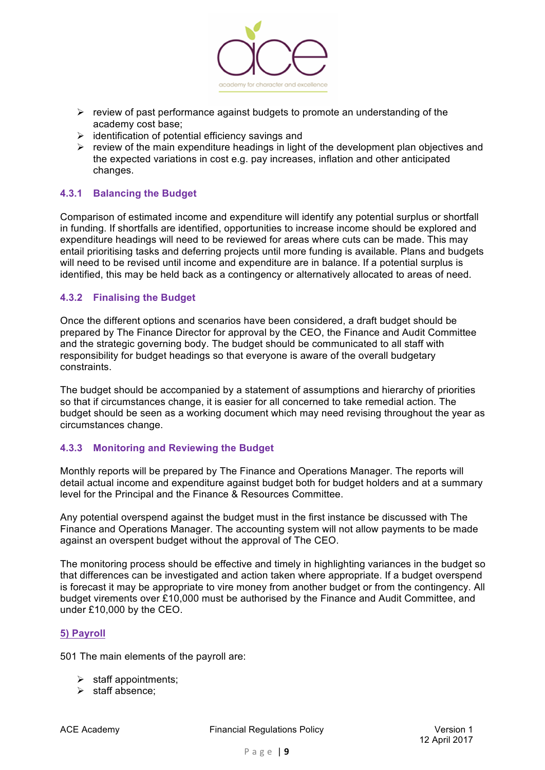

- $\triangleright$  review of past performance against budgets to promote an understanding of the academy cost base;
- $\triangleright$  identification of potential efficiency savings and
- $\triangleright$  review of the main expenditure headings in light of the development plan objectives and the expected variations in cost e.g. pay increases, inflation and other anticipated changes.

## **4.3.1 Balancing the Budget**

Comparison of estimated income and expenditure will identify any potential surplus or shortfall in funding. If shortfalls are identified, opportunities to increase income should be explored and expenditure headings will need to be reviewed for areas where cuts can be made. This may entail prioritising tasks and deferring projects until more funding is available. Plans and budgets will need to be revised until income and expenditure are in balance. If a potential surplus is identified, this may be held back as a contingency or alternatively allocated to areas of need.

## **4.3.2 Finalising the Budget**

Once the different options and scenarios have been considered, a draft budget should be prepared by The Finance Director for approval by the CEO, the Finance and Audit Committee and the strategic governing body. The budget should be communicated to all staff with responsibility for budget headings so that everyone is aware of the overall budgetary constraints.

The budget should be accompanied by a statement of assumptions and hierarchy of priorities so that if circumstances change, it is easier for all concerned to take remedial action. The budget should be seen as a working document which may need revising throughout the year as circumstances change.

## **4.3.3 Monitoring and Reviewing the Budget**

Monthly reports will be prepared by The Finance and Operations Manager. The reports will detail actual income and expenditure against budget both for budget holders and at a summary level for the Principal and the Finance & Resources Committee.

Any potential overspend against the budget must in the first instance be discussed with The Finance and Operations Manager. The accounting system will not allow payments to be made against an overspent budget without the approval of The CEO.

The monitoring process should be effective and timely in highlighting variances in the budget so that differences can be investigated and action taken where appropriate. If a budget overspend is forecast it may be appropriate to vire money from another budget or from the contingency. All budget virements over £10,000 must be authorised by the Finance and Audit Committee, and under £10,000 by the CEO.

#### **5) Payroll**

501 The main elements of the payroll are:

- $\triangleright$  staff appointments;
- $\triangleright$  staff absence: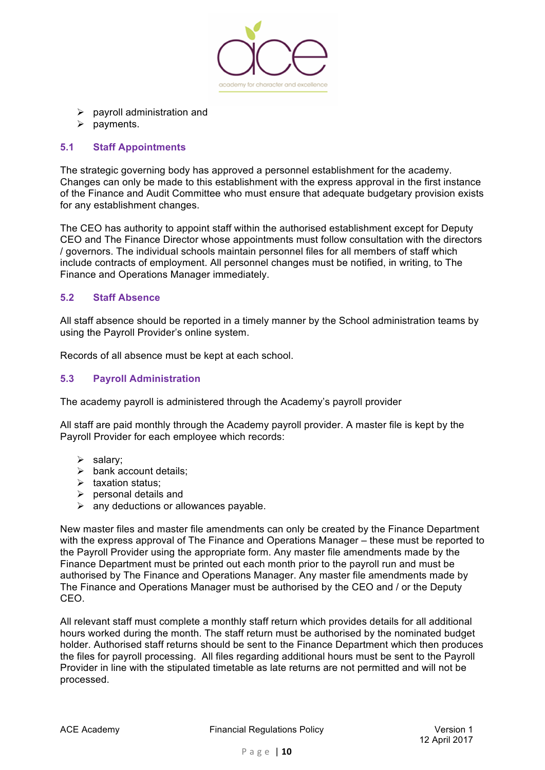

- $\triangleright$  payroll administration and
- $\triangleright$  payments.

## **5.1 Staff Appointments**

The strategic governing body has approved a personnel establishment for the academy. Changes can only be made to this establishment with the express approval in the first instance of the Finance and Audit Committee who must ensure that adequate budgetary provision exists for any establishment changes.

The CEO has authority to appoint staff within the authorised establishment except for Deputy CEO and The Finance Director whose appointments must follow consultation with the directors / governors. The individual schools maintain personnel files for all members of staff which include contracts of employment. All personnel changes must be notified, in writing, to The Finance and Operations Manager immediately.

## **5.2 Staff Absence**

All staff absence should be reported in a timely manner by the School administration teams by using the Payroll Provider's online system.

Records of all absence must be kept at each school.

## **5.3 Payroll Administration**

The academy payroll is administered through the Academy's payroll provider

All staff are paid monthly through the Academy payroll provider. A master file is kept by the Payroll Provider for each employee which records:

- $\triangleright$  salary:
- $\triangleright$  bank account details:
- $\triangleright$  taxation status:
- $\triangleright$  personal details and
- $\triangleright$  any deductions or allowances payable.

New master files and master file amendments can only be created by the Finance Department with the express approval of The Finance and Operations Manager – these must be reported to the Payroll Provider using the appropriate form. Any master file amendments made by the Finance Department must be printed out each month prior to the payroll run and must be authorised by The Finance and Operations Manager. Any master file amendments made by The Finance and Operations Manager must be authorised by the CEO and / or the Deputy CEO.

All relevant staff must complete a monthly staff return which provides details for all additional hours worked during the month. The staff return must be authorised by the nominated budget holder. Authorised staff returns should be sent to the Finance Department which then produces the files for payroll processing. All files regarding additional hours must be sent to the Payroll Provider in line with the stipulated timetable as late returns are not permitted and will not be processed.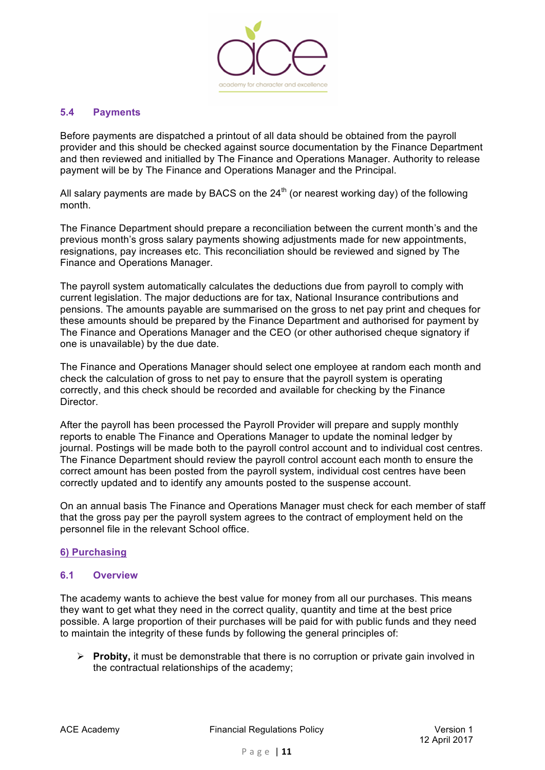

## **5.4 Payments**

Before payments are dispatched a printout of all data should be obtained from the payroll provider and this should be checked against source documentation by the Finance Department and then reviewed and initialled by The Finance and Operations Manager. Authority to release payment will be by The Finance and Operations Manager and the Principal.

All salary payments are made by BACS on the  $24<sup>th</sup>$  (or nearest working day) of the following month.

The Finance Department should prepare a reconciliation between the current month's and the previous month's gross salary payments showing adjustments made for new appointments, resignations, pay increases etc. This reconciliation should be reviewed and signed by The Finance and Operations Manager.

The payroll system automatically calculates the deductions due from payroll to comply with current legislation. The major deductions are for tax, National Insurance contributions and pensions. The amounts payable are summarised on the gross to net pay print and cheques for these amounts should be prepared by the Finance Department and authorised for payment by The Finance and Operations Manager and the CEO (or other authorised cheque signatory if one is unavailable) by the due date.

The Finance and Operations Manager should select one employee at random each month and check the calculation of gross to net pay to ensure that the payroll system is operating correctly, and this check should be recorded and available for checking by the Finance Director.

After the payroll has been processed the Payroll Provider will prepare and supply monthly reports to enable The Finance and Operations Manager to update the nominal ledger by journal. Postings will be made both to the payroll control account and to individual cost centres. The Finance Department should review the payroll control account each month to ensure the correct amount has been posted from the payroll system, individual cost centres have been correctly updated and to identify any amounts posted to the suspense account.

On an annual basis The Finance and Operations Manager must check for each member of staff that the gross pay per the payroll system agrees to the contract of employment held on the personnel file in the relevant School office.

## **6) Purchasing**

#### **6.1 Overview**

The academy wants to achieve the best value for money from all our purchases. This means they want to get what they need in the correct quality, quantity and time at the best price possible. A large proportion of their purchases will be paid for with public funds and they need to maintain the integrity of these funds by following the general principles of:

Ø **Probity,** it must be demonstrable that there is no corruption or private gain involved in the contractual relationships of the academy;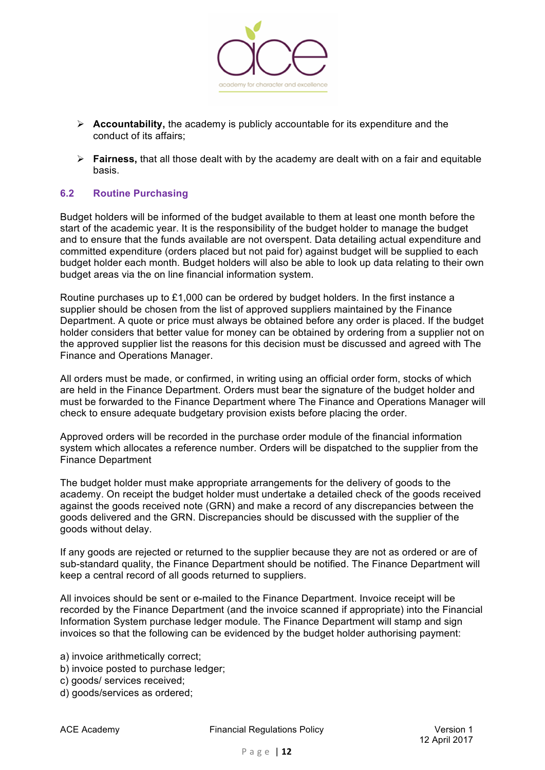

- Ø **Accountability,** the academy is publicly accountable for its expenditure and the conduct of its affairs;
- Ø **Fairness,** that all those dealt with by the academy are dealt with on a fair and equitable basis.

## **6.2 Routine Purchasing**

Budget holders will be informed of the budget available to them at least one month before the start of the academic year. It is the responsibility of the budget holder to manage the budget and to ensure that the funds available are not overspent. Data detailing actual expenditure and committed expenditure (orders placed but not paid for) against budget will be supplied to each budget holder each month. Budget holders will also be able to look up data relating to their own budget areas via the on line financial information system.

Routine purchases up to £1,000 can be ordered by budget holders. In the first instance a supplier should be chosen from the list of approved suppliers maintained by the Finance Department. A quote or price must always be obtained before any order is placed. If the budget holder considers that better value for money can be obtained by ordering from a supplier not on the approved supplier list the reasons for this decision must be discussed and agreed with The Finance and Operations Manager.

All orders must be made, or confirmed, in writing using an official order form, stocks of which are held in the Finance Department. Orders must bear the signature of the budget holder and must be forwarded to the Finance Department where The Finance and Operations Manager will check to ensure adequate budgetary provision exists before placing the order.

Approved orders will be recorded in the purchase order module of the financial information system which allocates a reference number. Orders will be dispatched to the supplier from the Finance Department

The budget holder must make appropriate arrangements for the delivery of goods to the academy. On receipt the budget holder must undertake a detailed check of the goods received against the goods received note (GRN) and make a record of any discrepancies between the goods delivered and the GRN. Discrepancies should be discussed with the supplier of the goods without delay.

If any goods are rejected or returned to the supplier because they are not as ordered or are of sub-standard quality, the Finance Department should be notified. The Finance Department will keep a central record of all goods returned to suppliers.

All invoices should be sent or e-mailed to the Finance Department. Invoice receipt will be recorded by the Finance Department (and the invoice scanned if appropriate) into the Financial Information System purchase ledger module. The Finance Department will stamp and sign invoices so that the following can be evidenced by the budget holder authorising payment:

a) invoice arithmetically correct;

- b) invoice posted to purchase ledger;
- c) goods/ services received;
- d) goods/services as ordered;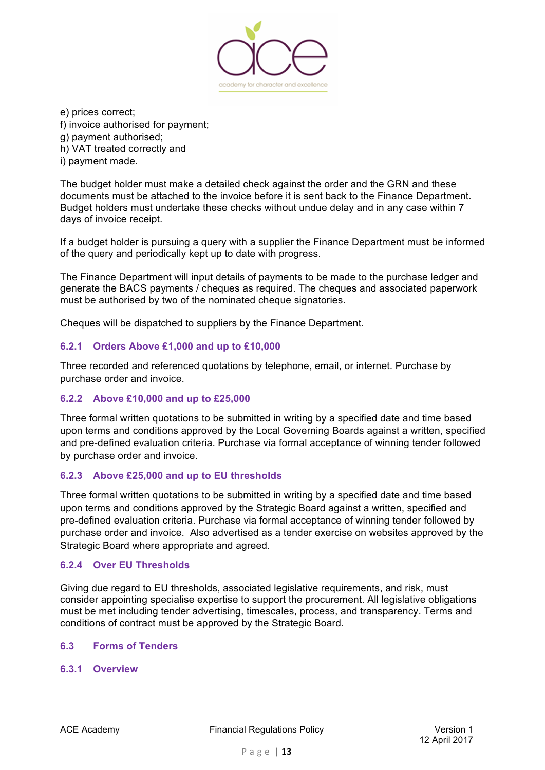

e) prices correct;

f) invoice authorised for payment;

g) payment authorised;

h) VAT treated correctly and

i) payment made.

The budget holder must make a detailed check against the order and the GRN and these documents must be attached to the invoice before it is sent back to the Finance Department. Budget holders must undertake these checks without undue delay and in any case within 7 days of invoice receipt.

If a budget holder is pursuing a query with a supplier the Finance Department must be informed of the query and periodically kept up to date with progress.

The Finance Department will input details of payments to be made to the purchase ledger and generate the BACS payments / cheques as required. The cheques and associated paperwork must be authorised by two of the nominated cheque signatories.

Cheques will be dispatched to suppliers by the Finance Department.

# **6.2.1 Orders Above £1,000 and up to £10,000**

Three recorded and referenced quotations by telephone, email, or internet. Purchase by purchase order and invoice.

# **6.2.2 Above £10,000 and up to £25,000**

Three formal written quotations to be submitted in writing by a specified date and time based upon terms and conditions approved by the Local Governing Boards against a written, specified and pre-defined evaluation criteria. Purchase via formal acceptance of winning tender followed by purchase order and invoice.

# **6.2.3 Above £25,000 and up to EU thresholds**

Three formal written quotations to be submitted in writing by a specified date and time based upon terms and conditions approved by the Strategic Board against a written, specified and pre-defined evaluation criteria. Purchase via formal acceptance of winning tender followed by purchase order and invoice. Also advertised as a tender exercise on websites approved by the Strategic Board where appropriate and agreed.

# **6.2.4 Over EU Thresholds**

Giving due regard to EU thresholds, associated legislative requirements, and risk, must consider appointing specialise expertise to support the procurement. All legislative obligations must be met including tender advertising, timescales, process, and transparency. Terms and conditions of contract must be approved by the Strategic Board.

# **6.3 Forms of Tenders**

# **6.3.1 Overview**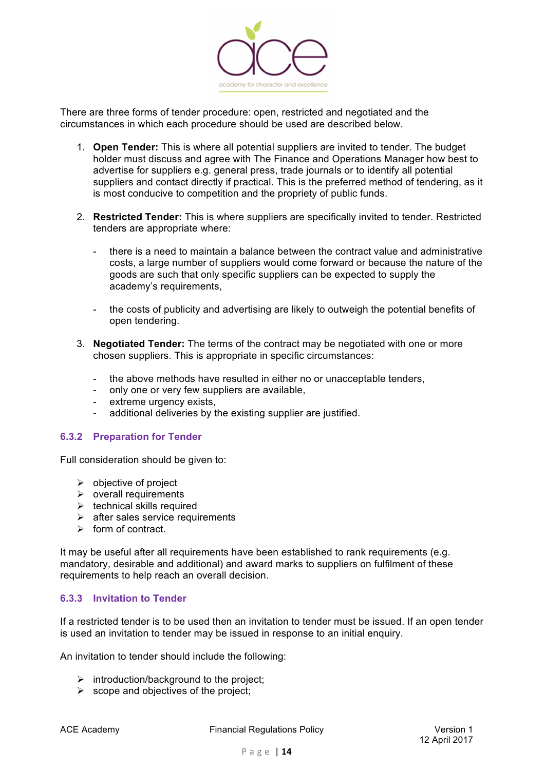

There are three forms of tender procedure: open, restricted and negotiated and the circumstances in which each procedure should be used are described below.

- 1. **Open Tender:** This is where all potential suppliers are invited to tender. The budget holder must discuss and agree with The Finance and Operations Manager how best to advertise for suppliers e.g. general press, trade journals or to identify all potential suppliers and contact directly if practical. This is the preferred method of tendering, as it is most conducive to competition and the propriety of public funds.
- 2. **Restricted Tender:** This is where suppliers are specifically invited to tender. Restricted tenders are appropriate where:
	- there is a need to maintain a balance between the contract value and administrative costs, a large number of suppliers would come forward or because the nature of the goods are such that only specific suppliers can be expected to supply the academy's requirements,
	- the costs of publicity and advertising are likely to outweigh the potential benefits of open tendering.
- 3. **Negotiated Tender:** The terms of the contract may be negotiated with one or more chosen suppliers. This is appropriate in specific circumstances:
	- the above methods have resulted in either no or unacceptable tenders,
	- only one or very few suppliers are available,
	- extreme urgency exists,
	- additional deliveries by the existing supplier are justified.

#### **6.3.2 Preparation for Tender**

Full consideration should be given to:

- $\triangleright$  objective of project
- $\triangleright$  overall requirements
- $\triangleright$  technical skills required
- $\triangleright$  after sales service requirements
- $\triangleright$  form of contract.

It may be useful after all requirements have been established to rank requirements (e.g. mandatory, desirable and additional) and award marks to suppliers on fulfilment of these requirements to help reach an overall decision.

## **6.3.3 Invitation to Tender**

If a restricted tender is to be used then an invitation to tender must be issued. If an open tender is used an invitation to tender may be issued in response to an initial enquiry.

An invitation to tender should include the following:

- $\triangleright$  introduction/background to the project;
- $\triangleright$  scope and objectives of the project;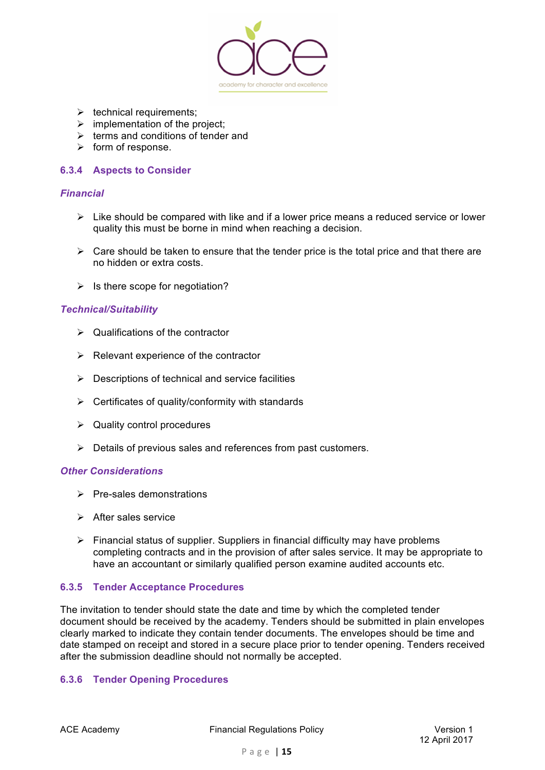

- $\triangleright$  technical requirements;
- $\triangleright$  implementation of the project;
- $\triangleright$  terms and conditions of tender and
- $\triangleright$  form of response.

## **6.3.4 Aspects to Consider**

## *Financial*

- $\triangleright$  Like should be compared with like and if a lower price means a reduced service or lower quality this must be borne in mind when reaching a decision.
- $\triangleright$  Care should be taken to ensure that the tender price is the total price and that there are no hidden or extra costs.
- $\triangleright$  Is there scope for negotiation?

## *Technical/Suitability*

- $\triangleright$  Qualifications of the contractor
- $\triangleright$  Relevant experience of the contractor
- $\triangleright$  Descriptions of technical and service facilities
- $\triangleright$  Certificates of quality/conformity with standards
- $\triangleright$  Quality control procedures
- $\triangleright$  Details of previous sales and references from past customers.

#### *Other Considerations*

- $\triangleright$  Pre-sales demonstrations
- $\triangleright$  After sales service
- $\triangleright$  Financial status of supplier. Suppliers in financial difficulty may have problems completing contracts and in the provision of after sales service. It may be appropriate to have an accountant or similarly qualified person examine audited accounts etc.

## **6.3.5 Tender Acceptance Procedures**

The invitation to tender should state the date and time by which the completed tender document should be received by the academy. Tenders should be submitted in plain envelopes clearly marked to indicate they contain tender documents. The envelopes should be time and date stamped on receipt and stored in a secure place prior to tender opening. Tenders received after the submission deadline should not normally be accepted.

## **6.3.6 Tender Opening Procedures**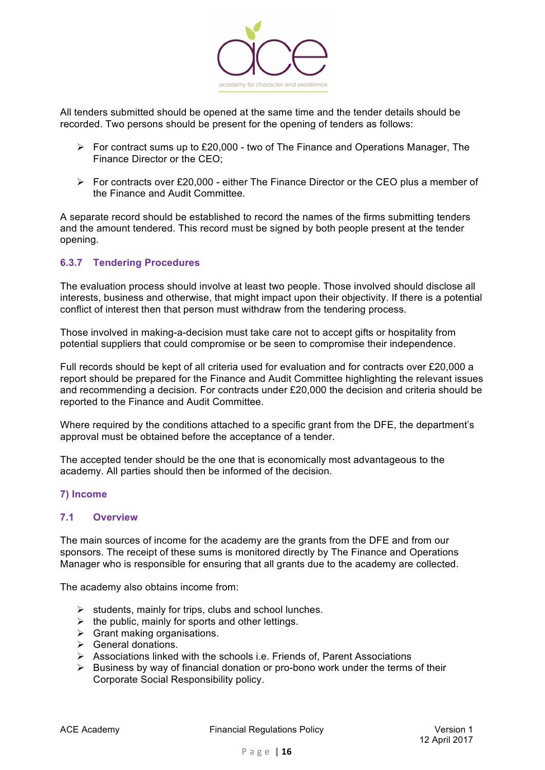

All tenders submitted should be opened at the same time and the tender details should be recorded. Two persons should be present for the opening of tenders as follows:

- $\triangleright$  For contract sums up to £20,000 two of The Finance and Operations Manager, The Finance Director or the CEO;
- $\triangleright$  For contracts over £20,000 either The Finance Director or the CEO plus a member of the Finance and Audit Committee.

A separate record should be established to record the names of the firms submitting tenders and the amount tendered. This record must be signed by both people present at the tender opening.

# **6.3.7 Tendering Procedures**

The evaluation process should involve at least two people. Those involved should disclose all interests, business and otherwise, that might impact upon their objectivity. If there is a potential conflict of interest then that person must withdraw from the tendering process.

Those involved in making-a-decision must take care not to accept gifts or hospitality from potential suppliers that could compromise or be seen to compromise their independence.

Full records should be kept of all criteria used for evaluation and for contracts over £20,000 a report should be prepared for the Finance and Audit Committee highlighting the relevant issues and recommending a decision. For contracts under £20,000 the decision and criteria should be reported to the Finance and Audit Committee.

Where required by the conditions attached to a specific grant from the DFE, the department's approval must be obtained before the acceptance of a tender.

The accepted tender should be the one that is economically most advantageous to the academy. All parties should then be informed of the decision.

## **7) Income**

#### **7.1 Overview**

The main sources of income for the academy are the grants from the DFE and from our sponsors. The receipt of these sums is monitored directly by The Finance and Operations Manager who is responsible for ensuring that all grants due to the academy are collected.

The academy also obtains income from:

- $\triangleright$  students, mainly for trips, clubs and school lunches.
- $\triangleright$  the public, mainly for sports and other lettings.
- $\triangleright$  Grant making organisations.
- $\triangleright$  General donations.
- $\triangleright$  Associations linked with the schools i.e. Friends of, Parent Associations
- $\triangleright$  Business by way of financial donation or pro-bono work under the terms of their Corporate Social Responsibility policy.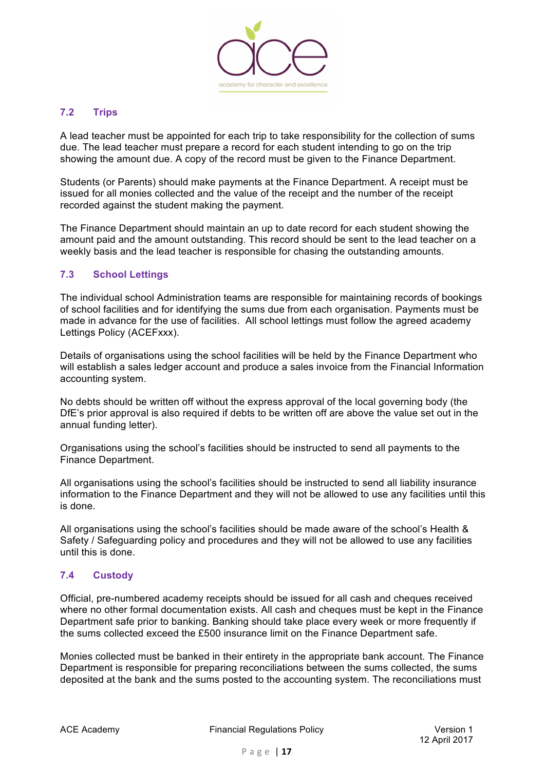

## **7.2 Trips**

A lead teacher must be appointed for each trip to take responsibility for the collection of sums due. The lead teacher must prepare a record for each student intending to go on the trip showing the amount due. A copy of the record must be given to the Finance Department.

Students (or Parents) should make payments at the Finance Department. A receipt must be issued for all monies collected and the value of the receipt and the number of the receipt recorded against the student making the payment.

The Finance Department should maintain an up to date record for each student showing the amount paid and the amount outstanding. This record should be sent to the lead teacher on a weekly basis and the lead teacher is responsible for chasing the outstanding amounts.

# **7.3 School Lettings**

The individual school Administration teams are responsible for maintaining records of bookings of school facilities and for identifying the sums due from each organisation. Payments must be made in advance for the use of facilities. All school lettings must follow the agreed academy Lettings Policy (ACEFxxx).

Details of organisations using the school facilities will be held by the Finance Department who will establish a sales ledger account and produce a sales invoice from the Financial Information accounting system.

No debts should be written off without the express approval of the local governing body (the DfE's prior approval is also required if debts to be written off are above the value set out in the annual funding letter).

Organisations using the school's facilities should be instructed to send all payments to the Finance Department.

All organisations using the school's facilities should be instructed to send all liability insurance information to the Finance Department and they will not be allowed to use any facilities until this is done.

All organisations using the school's facilities should be made aware of the school's Health & Safety / Safeguarding policy and procedures and they will not be allowed to use any facilities until this is done.

## **7.4 Custody**

Official, pre-numbered academy receipts should be issued for all cash and cheques received where no other formal documentation exists. All cash and cheques must be kept in the Finance Department safe prior to banking. Banking should take place every week or more frequently if the sums collected exceed the £500 insurance limit on the Finance Department safe.

Monies collected must be banked in their entirety in the appropriate bank account. The Finance Department is responsible for preparing reconciliations between the sums collected, the sums deposited at the bank and the sums posted to the accounting system. The reconciliations must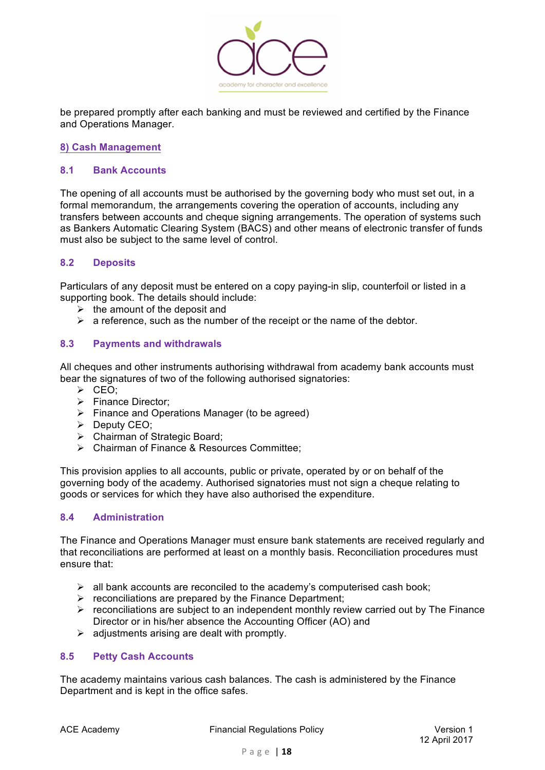

be prepared promptly after each banking and must be reviewed and certified by the Finance and Operations Manager.

## **8) Cash Management**

## **8.1 Bank Accounts**

The opening of all accounts must be authorised by the governing body who must set out, in a formal memorandum, the arrangements covering the operation of accounts, including any transfers between accounts and cheque signing arrangements. The operation of systems such as Bankers Automatic Clearing System (BACS) and other means of electronic transfer of funds must also be subject to the same level of control.

## **8.2 Deposits**

Particulars of any deposit must be entered on a copy paying-in slip, counterfoil or listed in a supporting book. The details should include:

- $\triangleright$  the amount of the deposit and
- $\triangleright$  a reference, such as the number of the receipt or the name of the debtor.

## **8.3 Payments and withdrawals**

All cheques and other instruments authorising withdrawal from academy bank accounts must bear the signatures of two of the following authorised signatories:

- $\triangleright$  CEO:
- Ø Finance Director;
- $\triangleright$  Finance and Operations Manager (to be agreed)
- $\triangleright$  Deputy CEO;
- $\triangleright$  Chairman of Strategic Board;
- $\triangleright$  Chairman of Finance & Resources Committee:

This provision applies to all accounts, public or private, operated by or on behalf of the governing body of the academy. Authorised signatories must not sign a cheque relating to goods or services for which they have also authorised the expenditure.

## **8.4 Administration**

The Finance and Operations Manager must ensure bank statements are received regularly and that reconciliations are performed at least on a monthly basis. Reconciliation procedures must ensure that:

- $\triangleright$  all bank accounts are reconciled to the academy's computerised cash book;
- $\triangleright$  reconciliations are prepared by the Finance Department;
- $\triangleright$  reconciliations are subject to an independent monthly review carried out by The Finance Director or in his/her absence the Accounting Officer (AO) and
- $\triangleright$  adjustments arising are dealt with promptly.

## **8.5 Petty Cash Accounts**

The academy maintains various cash balances. The cash is administered by the Finance Department and is kept in the office safes.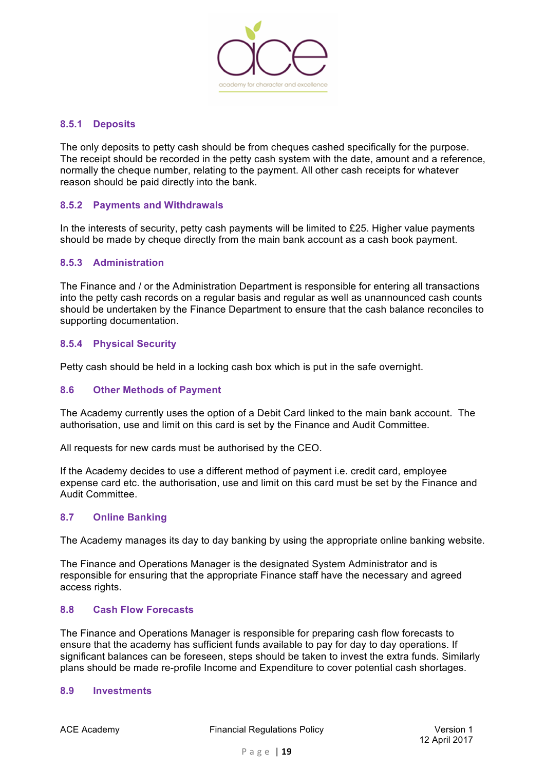

## **8.5.1 Deposits**

The only deposits to petty cash should be from cheques cashed specifically for the purpose. The receipt should be recorded in the petty cash system with the date, amount and a reference, normally the cheque number, relating to the payment. All other cash receipts for whatever reason should be paid directly into the bank.

## **8.5.2 Payments and Withdrawals**

In the interests of security, petty cash payments will be limited to £25. Higher value payments should be made by cheque directly from the main bank account as a cash book payment.

#### **8.5.3 Administration**

The Finance and / or the Administration Department is responsible for entering all transactions into the petty cash records on a regular basis and regular as well as unannounced cash counts should be undertaken by the Finance Department to ensure that the cash balance reconciles to supporting documentation.

## **8.5.4 Physical Security**

Petty cash should be held in a locking cash box which is put in the safe overnight.

#### **8.6 Other Methods of Payment**

The Academy currently uses the option of a Debit Card linked to the main bank account. The authorisation, use and limit on this card is set by the Finance and Audit Committee.

All requests for new cards must be authorised by the CEO.

If the Academy decides to use a different method of payment i.e. credit card, employee expense card etc. the authorisation, use and limit on this card must be set by the Finance and Audit Committee.

## **8.7 Online Banking**

The Academy manages its day to day banking by using the appropriate online banking website.

The Finance and Operations Manager is the designated System Administrator and is responsible for ensuring that the appropriate Finance staff have the necessary and agreed access rights.

#### **8.8 Cash Flow Forecasts**

The Finance and Operations Manager is responsible for preparing cash flow forecasts to ensure that the academy has sufficient funds available to pay for day to day operations. If significant balances can be foreseen, steps should be taken to invest the extra funds. Similarly plans should be made re-profile Income and Expenditure to cover potential cash shortages.

## **8.9 Investments**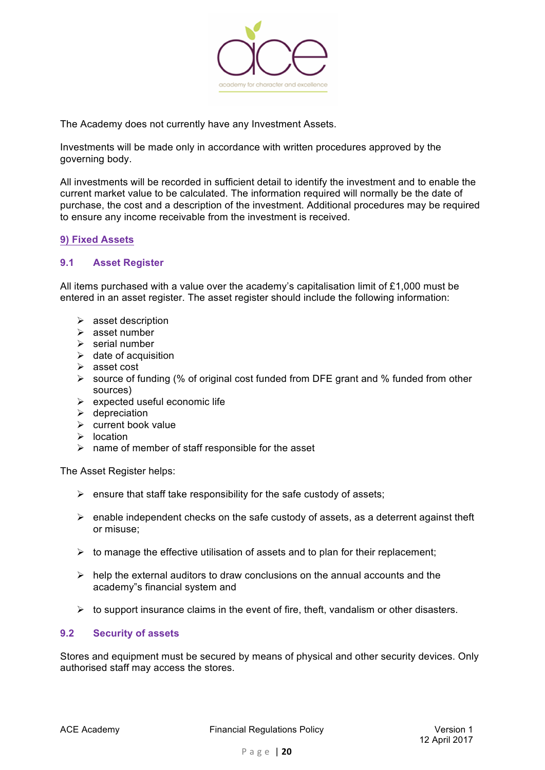

The Academy does not currently have any Investment Assets.

Investments will be made only in accordance with written procedures approved by the governing body.

All investments will be recorded in sufficient detail to identify the investment and to enable the current market value to be calculated. The information required will normally be the date of purchase, the cost and a description of the investment. Additional procedures may be required to ensure any income receivable from the investment is received.

# **9) Fixed Assets**

## **9.1 Asset Register**

All items purchased with a value over the academy's capitalisation limit of £1,000 must be entered in an asset register. The asset register should include the following information:

- $\triangleright$  asset description
- $\geq$  asset number
- $\triangleright$  serial number
- $\triangleright$  date of acquisition
- $\triangleright$  asset cost
- $\triangleright$  source of funding (% of original cost funded from DFE grant and % funded from other sources)
- $\triangleright$  expected useful economic life
- $\triangleright$  depreciation
- $\triangleright$  current book value
- $\triangleright$  location
- $\triangleright$  name of member of staff responsible for the asset

The Asset Register helps:

- $\triangleright$  ensure that staff take responsibility for the safe custody of assets;
- $\triangleright$  enable independent checks on the safe custody of assets, as a deterrent against theft or misuse;
- $\triangleright$  to manage the effective utilisation of assets and to plan for their replacement;
- $\triangleright$  help the external auditors to draw conclusions on the annual accounts and the academy"s financial system and
- $\triangleright$  to support insurance claims in the event of fire, theft, vandalism or other disasters.

## **9.2 Security of assets**

Stores and equipment must be secured by means of physical and other security devices. Only authorised staff may access the stores.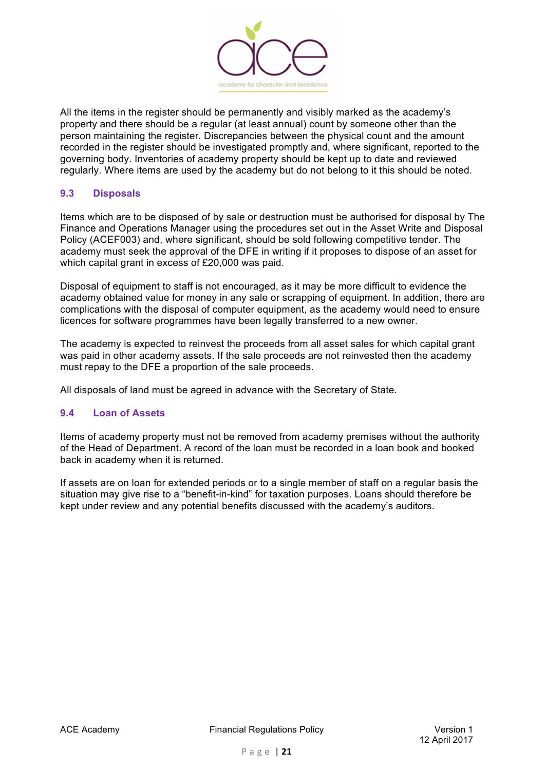

All the items in the register should be permanently and visibly marked as the academy's property and there should be a regular (at least annual) count by someone other than the person maintaining the register. Discrepancies between the physical count and the amount recorded in the register should be investigated promptly and, where significant, reported to the governing body. Inventories of academy property should be kept up to date and reviewed regularly. Where items are used by the academy but do not belong to it this should be noted.

## **9.3 Disposals**

Items which are to be disposed of by sale or destruction must be authorised for disposal by The Finance and Operations Manager using the procedures set out in the Asset Write and Disposal Policy (ACEF003) and, where significant, should be sold following competitive tender. The academy must seek the approval of the DFE in writing if it proposes to dispose of an asset for which capital grant in excess of £20,000 was paid.

Disposal of equipment to staff is not encouraged, as it may be more difficult to evidence the academy obtained value for money in any sale or scrapping of equipment. In addition, there are complications with the disposal of computer equipment, as the academy would need to ensure licences for software programmes have been legally transferred to a new owner.

The academy is expected to reinvest the proceeds from all asset sales for which capital grant was paid in other academy assets. If the sale proceeds are not reinvested then the academy must repay to the DFE a proportion of the sale proceeds.

All disposals of land must be agreed in advance with the Secretary of State.

## **9.4 Loan of Assets**

Items of academy property must not be removed from academy premises without the authority of the Head of Department. A record of the loan must be recorded in a loan book and booked back in academy when it is returned.

If assets are on loan for extended periods or to a single member of staff on a regular basis the situation may give rise to a "benefit-in-kind" for taxation purposes. Loans should therefore be kept under review and any potential benefits discussed with the academy's auditors.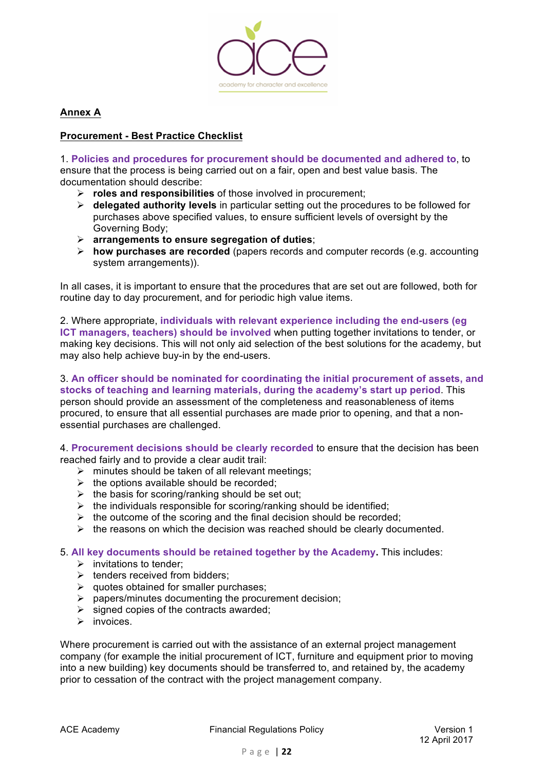

**Annex A**

## **Procurement - Best Practice Checklist**

1. **Policies and procedures for procurement should be documented and adhered to**, to ensure that the process is being carried out on a fair, open and best value basis. The documentation should describe:

- Ø **roles and responsibilities** of those involved in procurement;
- Ø **delegated authority levels** in particular setting out the procedures to be followed for purchases above specified values, to ensure sufficient levels of oversight by the Governing Body;
- Ø **arrangements to ensure segregation of duties**;
- Ø **how purchases are recorded** (papers records and computer records (e.g. accounting system arrangements)).

In all cases, it is important to ensure that the procedures that are set out are followed, both for routine day to day procurement, and for periodic high value items.

## 2. Where appropriate, **individuals with relevant experience including the end-users (eg**

**ICT managers, teachers) should be involved** when putting together invitations to tender, or making key decisions. This will not only aid selection of the best solutions for the academy, but may also help achieve buy-in by the end-users.

# 3. **An officer should be nominated for coordinating the initial procurement of assets, and stocks of teaching and learning materials, during the academy's start up period**. This person should provide an assessment of the completeness and reasonableness of items

procured, to ensure that all essential purchases are made prior to opening, and that a nonessential purchases are challenged.

4. **Procurement decisions should be clearly recorded** to ensure that the decision has been reached fairly and to provide a clear audit trail:

- $\triangleright$  minutes should be taken of all relevant meetings:
- $\triangleright$  the options available should be recorded;
- $\triangleright$  the basis for scoring/ranking should be set out;
- $\triangleright$  the individuals responsible for scoring/ranking should be identified;
- $\triangleright$  the outcome of the scoring and the final decision should be recorded;
- $\triangleright$  the reasons on which the decision was reached should be clearly documented.

5. **All key documents should be retained together by the Academy.** This includes:

- $\triangleright$  invitations to tender:
- $\triangleright$  tenders received from bidders:
- $\triangleright$  quotes obtained for smaller purchases;
- $\triangleright$  papers/minutes documenting the procurement decision;
- $\triangleright$  signed copies of the contracts awarded;
- $\triangleright$  invoices.

Where procurement is carried out with the assistance of an external project management company (for example the initial procurement of ICT, furniture and equipment prior to moving into a new building) key documents should be transferred to, and retained by, the academy prior to cessation of the contract with the project management company.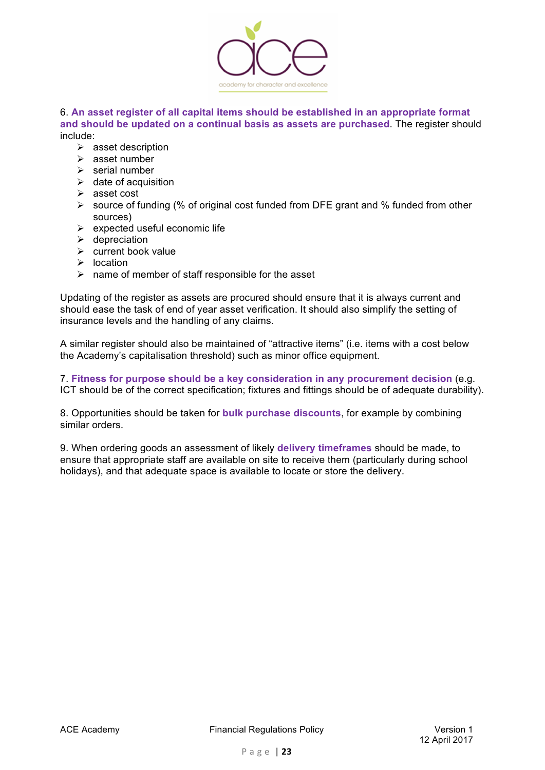

#### 6. **An asset register of all capital items should be established in an appropriate format and should be updated on a continual basis as assets are purchased**. The register should include:

- $\triangleright$  asset description
- $\triangleright$  asset number
- $\triangleright$  serial number
- $\triangleright$  date of acquisition
- $\triangleright$  asset cost
- $\triangleright$  source of funding (% of original cost funded from DFE grant and % funded from other sources)
- $\triangleright$  expected useful economic life
- $\triangleright$  depreciation
- $\triangleright$  current book value
- $\triangleright$  location
- $\triangleright$  name of member of staff responsible for the asset

Updating of the register as assets are procured should ensure that it is always current and should ease the task of end of year asset verification. It should also simplify the setting of insurance levels and the handling of any claims.

A similar register should also be maintained of "attractive items" (i.e. items with a cost below the Academy's capitalisation threshold) such as minor office equipment.

7. **Fitness for purpose should be a key consideration in any procurement decision** (e.g. ICT should be of the correct specification; fixtures and fittings should be of adequate durability).

8. Opportunities should be taken for **bulk purchase discounts**, for example by combining similar orders.

9. When ordering goods an assessment of likely **delivery timeframes** should be made, to ensure that appropriate staff are available on site to receive them (particularly during school holidays), and that adequate space is available to locate or store the delivery.